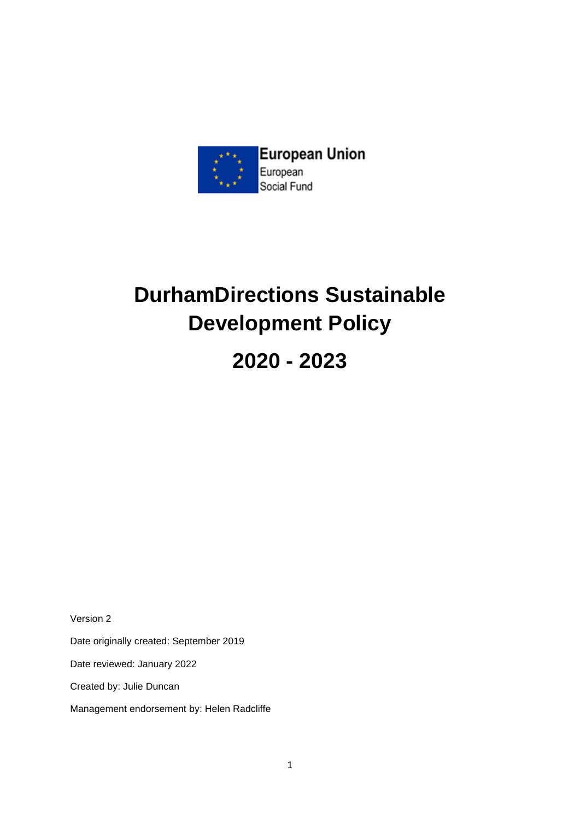

# **DurhamDirections Sustainable Development Policy 2020 - 2023**

Version 2

Date originally created: September 2019

Date reviewed: January 2022

Created by: Julie Duncan

Management endorsement by: Helen Radcliffe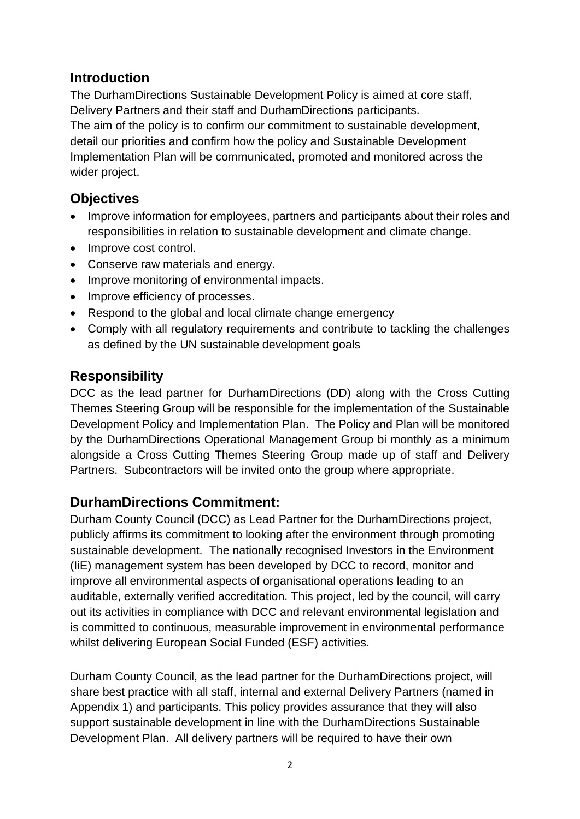### **Introduction**

The DurhamDirections Sustainable Development Policy is aimed at core staff, Delivery Partners and their staff and DurhamDirections participants.

The aim of the policy is to confirm our commitment to sustainable development, detail our priorities and confirm how the policy and Sustainable Development Implementation Plan will be communicated, promoted and monitored across the wider project.

# **Objectives**

- Improve information for employees, partners and participants about their roles and responsibilities in relation to sustainable development and climate change.
- Improve cost control.
- Conserve raw materials and energy.
- Improve monitoring of environmental impacts.
- Improve efficiency of processes.
- Respond to the global and local climate change emergency
- Comply with all regulatory requirements and contribute to tackling the challenges as defined by the UN sustainable development goals

# **Responsibility**

DCC as the lead partner for DurhamDirections (DD) along with the Cross Cutting Themes Steering Group will be responsible for the implementation of the Sustainable Development Policy and Implementation Plan. The Policy and Plan will be monitored by the DurhamDirections Operational Management Group bi monthly as a minimum alongside a Cross Cutting Themes Steering Group made up of staff and Delivery Partners. Subcontractors will be invited onto the group where appropriate.

# **DurhamDirections Commitment:**

Durham County Council (DCC) as Lead Partner for the DurhamDirections project, publicly affirms its commitment to looking after the environment through promoting sustainable development. The nationally recognised Investors in the Environment (IiE) management system has been developed by DCC to record, monitor and improve all environmental aspects of organisational operations leading to an auditable, externally verified accreditation. This project, led by the council, will carry out its activities in compliance with DCC and relevant environmental legislation and is committed to continuous, measurable improvement in environmental performance whilst delivering European Social Funded (ESF) activities.

Durham County Council, as the lead partner for the DurhamDirections project, will share best practice with all staff, internal and external Delivery Partners (named in Appendix 1) and participants. This policy provides assurance that they will also support sustainable development in line with the DurhamDirections Sustainable Development Plan. All delivery partners will be required to have their own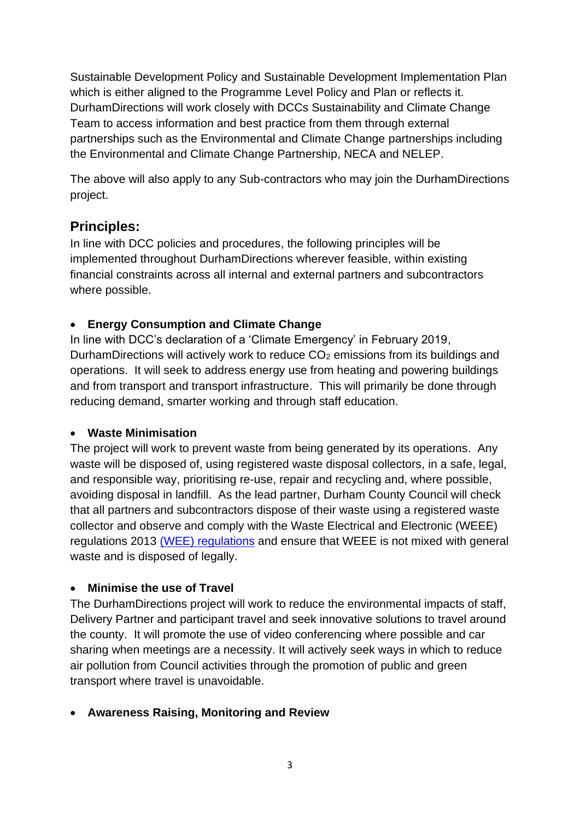Sustainable Development Policy and Sustainable Development Implementation Plan which is either aligned to the Programme Level Policy and Plan or reflects it. DurhamDirections will work closely with DCCs Sustainability and Climate Change Team to access information and best practice from them through external partnerships such as the Environmental and Climate Change partnerships including the Environmental and Climate Change Partnership, NECA and NELEP.

The above will also apply to any Sub-contractors who may join the DurhamDirections project.

# **Principles:**

In line with DCC policies and procedures, the following principles will be implemented throughout DurhamDirections wherever feasible, within existing financial constraints across all internal and external partners and subcontractors where possible.

#### • **Energy Consumption and Climate Change**

In line with DCC's declaration of a 'Climate Emergency' in February 2019, DurhamDirections will actively work to reduce CO<sub>2</sub> emissions from its buildings and operations. It will seek to address energy use from heating and powering buildings and from transport and transport infrastructure. This will primarily be done through reducing demand, smarter working and through staff education.

#### • **Waste Minimisation**

The project will work to prevent waste from being generated by its operations. Any waste will be disposed of, using registered waste disposal collectors, in a safe, legal, and responsible way, prioritising re-use, repair and recycling and, where possible, avoiding disposal in landfill. As the lead partner, Durham County Council will check that all partners and subcontractors dispose of their waste using a registered waste collector and observe and comply with the Waste Electrical and Electronic (WEEE) regulations 2013 [\(WEE\) regulations](https://www.gov.uk/government/uploads/system/uploads/attachment_data/file/292632/bis-14-604-weee-regulations-2013-government-guidance-notes.pdf) and ensure that WEEE is not mixed with general waste and is disposed of legally.

#### • **Minimise the use of Travel**

The DurhamDirections project will work to reduce the environmental impacts of staff, Delivery Partner and participant travel and seek innovative solutions to travel around the county. It will promote the use of video conferencing where possible and car sharing when meetings are a necessity. It will actively seek ways in which to reduce air pollution from Council activities through the promotion of public and green transport where travel is unavoidable.

#### • **Awareness Raising, Monitoring and Review**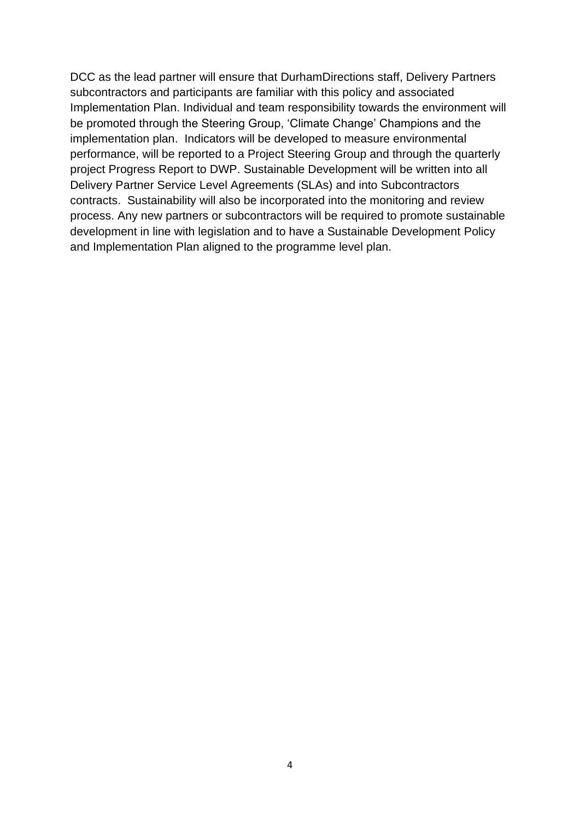DCC as the lead partner will ensure that DurhamDirections staff, Delivery Partners subcontractors and participants are familiar with this policy and associated Implementation Plan. Individual and team responsibility towards the environment will be promoted through the Steering Group, 'Climate Change' Champions and the implementation plan. Indicators will be developed to measure environmental performance, will be reported to a Project Steering Group and through the quarterly project Progress Report to DWP. Sustainable Development will be written into all Delivery Partner Service Level Agreements (SLAs) and into Subcontractors contracts. Sustainability will also be incorporated into the monitoring and review process. Any new partners or subcontractors will be required to promote sustainable development in line with legislation and to have a Sustainable Development Policy and Implementation Plan aligned to the programme level plan.